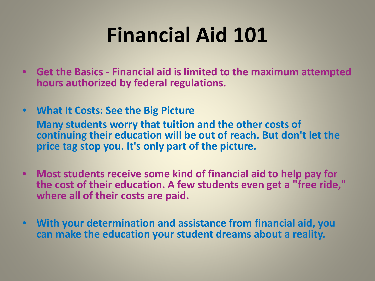# **Financial Aid 101**

- **Get the Basics - Financial aid is limited to the maximum attempted hours authorized by federal regulations.**
- **What It Costs: See the Big Picture Many students worry that tuition and the other costs of continuing their education will be out of reach. But don't let the price tag stop you. It's only part of the picture.**
- **Most students receive some kind of financial aid to help pay for the cost of their education. A few students even get a "free ride," where all of their costs are paid.**
- **With your determination and assistance from financial aid, you can make the education your student dreams about a reality.**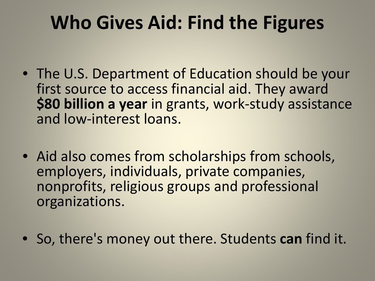# **Who Gives Aid: Find the Figures**

- The U.S. Department of Education should be your first source to access financial aid. They award **\$80 billion a year** in grants, work-study assistance and low-interest loans.
- Aid also comes from scholarships from schools, employers, individuals, private companies, nonprofits, religious groups and professional organizations.
- So, there's money out there. Students **can** find it.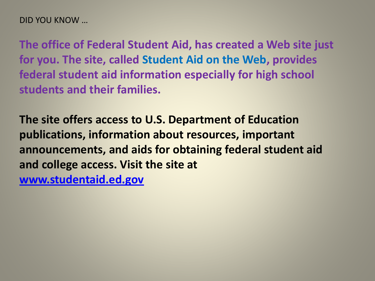DID YOU KNOW …

**The office of Federal Student Aid, has created a Web site just for you. The site, called Student Aid on the Web, provides federal student aid information especially for high school students and their families.**

**The site offers access to U.S. Department of Education publications, information about resources, important announcements, and aids for obtaining federal student aid and college access. Visit the site at [www.studentaid.ed.gov](http://www.studentaid.ed.gov/)**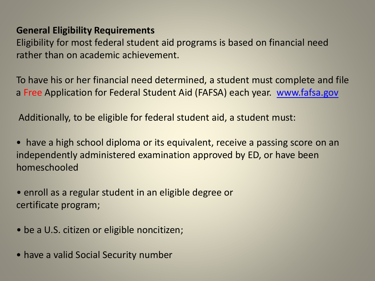#### **General Eligibility Requirements**

Eligibility for most federal student aid programs is based on financial need rather than on academic achievement.

To have his or her financial need determined, a student must complete and file a Free Application for Federal Student Aid (FAFSA) each year. www.fafsa.gov

Additionally, to be eligible for federal student aid, a student must:

• have a high school diploma or its equivalent, receive a passing score on an independently administered examination approved by ED, or have been homeschooled

• enroll as a regular student in an eligible degree or certificate program;

- be a U.S. citizen or eligible noncitizen;
- have a valid Social Security number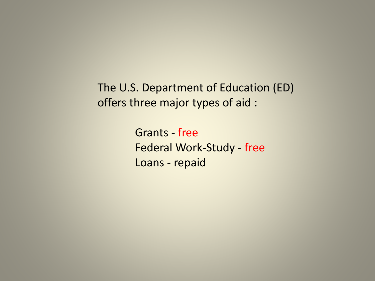The U.S. Department of Education (ED) offers three major types of aid :

> Grants - free Federal Work-Study - free Loans - repaid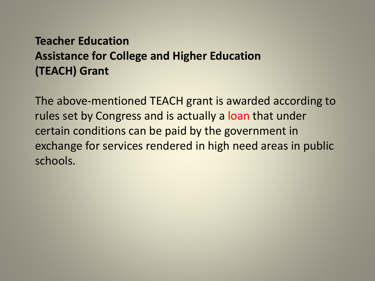# **Teacher Education Assistance for College and Higher Education (TEACH) Grant**

The above-mentioned TEACH grant is awarded according to rules set by Congress and is actually a loan that under certain conditions can be paid by the government in exchange for services rendered in high need areas in public schools.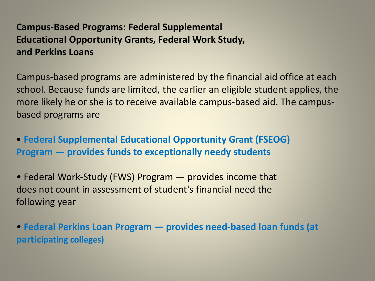#### **Campus-Based Programs: Federal Supplemental Educational Opportunity Grants, Federal Work Study, and Perkins Loans**

Campus-based programs are administered by the financial aid office at each school. Because funds are limited, the earlier an eligible student applies, the more likely he or she is to receive available campus-based aid. The campusbased programs are

• **Federal Supplemental Educational Opportunity Grant (FSEOG) Program — provides funds to exceptionally needy students**

• Federal Work-Study (FWS) Program — provides income that does not count in assessment of student's financial need the following year

• **Federal Perkins Loan Program — provides need-based loan funds (at participating colleges)**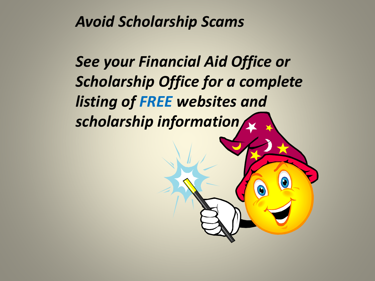# *Avoid Scholarship Scams*

*See your Financial Aid Office or Scholarship Office for a complete listing of FREE websites and scholarship information*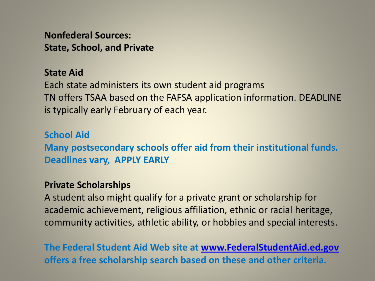**Nonfederal Sources: State, School, and Private**

#### **State Aid**

Each state administers its own student aid programs TN offers TSAA based on the FAFSA application information. DEADLINE is typically early February of each year.

**School Aid Many postsecondary schools offer aid from their institutional funds. Deadlines vary, APPLY EARLY**

#### **Private Scholarships**

A student also might qualify for a private grant or scholarship for academic achievement, religious affiliation, ethnic or racial heritage, community activities, athletic ability, or hobbies and special interests.

**The Federal Student Aid Web site at [www.FederalStudentAid.ed.gov](http://federalstudentaid.ed.gov/) offers a free scholarship search based on these and other criteria.**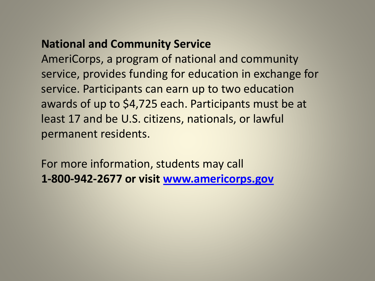## **National and Community Service**

AmeriCorps, a program of national and community service, provides funding for education in exchange for service. Participants can earn up to two education awards of up to \$4,725 each. Participants must be at least 17 and be U.S. citizens, nationals, or lawful permanent residents.

For more information, students may call **1-800-942-2677 or visit [www.americorps.gov](http://www.americorps.gov/)**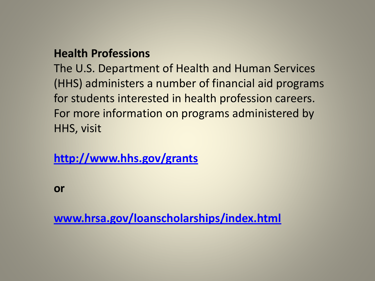### **Health Professions**

The U.S. Department of Health and Human Services (HHS) administers a number of financial aid programs for students interested in health profession careers. For more information on programs administered by HHS, visit

**[http://www.hhs.gov/grants](http://www.hhs.gov/grants/)**

**or**

**[www.hrsa.gov/loanscholarships/index.html](http://www.hrsa.gov/loanscholarships/index.html)**